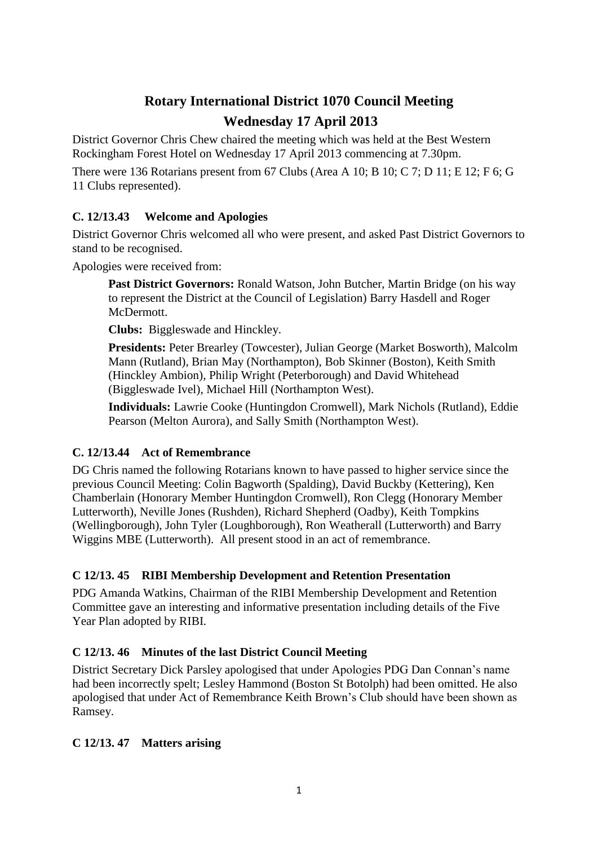# **Rotary International District 1070 Council Meeting**

# **Wednesday 17 April 2013**

District Governor Chris Chew chaired the meeting which was held at the Best Western Rockingham Forest Hotel on Wednesday 17 April 2013 commencing at 7.30pm.

There were 136 Rotarians present from 67 Clubs (Area A 10; B 10; C 7; D 11; E 12; F 6; G 11 Clubs represented).

# **C. 12/13.43 Welcome and Apologies**

District Governor Chris welcomed all who were present, and asked Past District Governors to stand to be recognised.

Apologies were received from:

**Past District Governors:** Ronald Watson, John Butcher, Martin Bridge (on his way to represent the District at the Council of Legislation) Barry Hasdell and Roger McDermott.

**Clubs:** Biggleswade and Hinckley.

**Presidents:** Peter Brearley (Towcester), Julian George (Market Bosworth), Malcolm Mann (Rutland), Brian May (Northampton), Bob Skinner (Boston), Keith Smith (Hinckley Ambion), Philip Wright (Peterborough) and David Whitehead (Biggleswade Ivel), Michael Hill (Northampton West).

**Individuals:** Lawrie Cooke (Huntingdon Cromwell), Mark Nichols (Rutland), Eddie Pearson (Melton Aurora), and Sally Smith (Northampton West).

# **C. 12/13.44 Act of Remembrance**

DG Chris named the following Rotarians known to have passed to higher service since the previous Council Meeting: Colin Bagworth (Spalding), David Buckby (Kettering), Ken Chamberlain (Honorary Member Huntingdon Cromwell), Ron Clegg (Honorary Member Lutterworth), Neville Jones (Rushden), Richard Shepherd (Oadby), Keith Tompkins (Wellingborough), John Tyler (Loughborough), Ron Weatherall (Lutterworth) and Barry Wiggins MBE (Lutterworth). All present stood in an act of remembrance.

# **C 12/13. 45 RIBI Membership Development and Retention Presentation**

PDG Amanda Watkins, Chairman of the RIBI Membership Development and Retention Committee gave an interesting and informative presentation including details of the Five Year Plan adopted by RIBI.

# **C 12/13. 46 Minutes of the last District Council Meeting**

District Secretary Dick Parsley apologised that under Apologies PDG Dan Connan's name had been incorrectly spelt; Lesley Hammond (Boston St Botolph) had been omitted. He also apologised that under Act of Remembrance Keith Brown's Club should have been shown as Ramsey.

# **C 12/13. 47 Matters arising**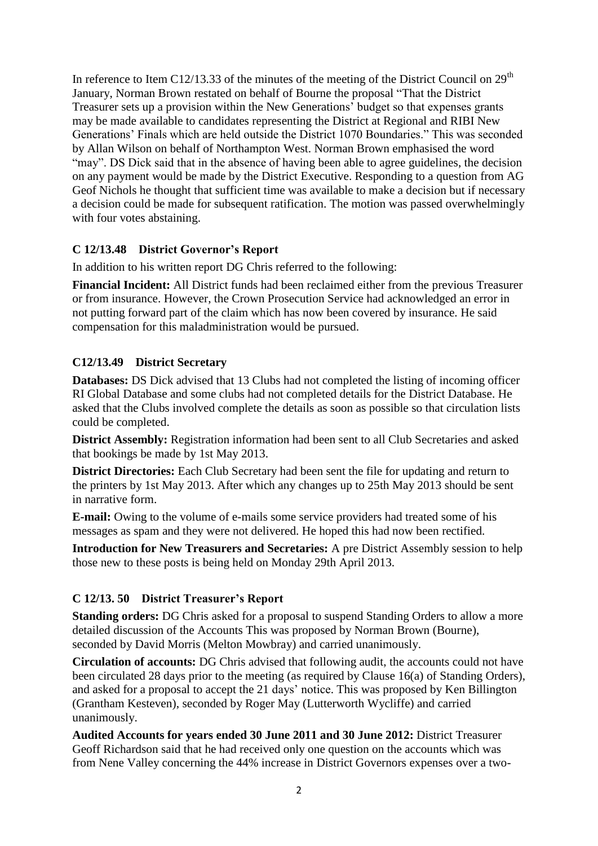In reference to Item C12/13.33 of the minutes of the meeting of the District Council on  $29<sup>th</sup>$ January, Norman Brown restated on behalf of Bourne the proposal "That the District Treasurer sets up a provision within the New Generations' budget so that expenses grants may be made available to candidates representing the District at Regional and RIBI New Generations' Finals which are held outside the District 1070 Boundaries." This was seconded by Allan Wilson on behalf of Northampton West. Norman Brown emphasised the word "may". DS Dick said that in the absence of having been able to agree guidelines, the decision on any payment would be made by the District Executive. Responding to a question from AG Geof Nichols he thought that sufficient time was available to make a decision but if necessary a decision could be made for subsequent ratification. The motion was passed overwhelmingly with four votes abstaining.

## **C 12/13.48 District Governor's Report**

In addition to his written report DG Chris referred to the following:

**Financial Incident:** All District funds had been reclaimed either from the previous Treasurer or from insurance. However, the Crown Prosecution Service had acknowledged an error in not putting forward part of the claim which has now been covered by insurance. He said compensation for this maladministration would be pursued.

## **C12/13.49 District Secretary**

**Databases:** DS Dick advised that 13 Clubs had not completed the listing of incoming officer RI Global Database and some clubs had not completed details for the District Database. He asked that the Clubs involved complete the details as soon as possible so that circulation lists could be completed.

**District Assembly:** Registration information had been sent to all Club Secretaries and asked that bookings be made by 1st May 2013.

**District Directories:** Each Club Secretary had been sent the file for updating and return to the printers by 1st May 2013. After which any changes up to 25th May 2013 should be sent in narrative form.

**E-mail:** Owing to the volume of e-mails some service providers had treated some of his messages as spam and they were not delivered. He hoped this had now been rectified.

**Introduction for New Treasurers and Secretaries:** A pre District Assembly session to help those new to these posts is being held on Monday 29th April 2013.

#### **C 12/13. 50 District Treasurer's Report**

**Standing orders:** DG Chris asked for a proposal to suspend Standing Orders to allow a more detailed discussion of the Accounts This was proposed by Norman Brown (Bourne), seconded by David Morris (Melton Mowbray) and carried unanimously.

**Circulation of accounts:** DG Chris advised that following audit, the accounts could not have been circulated 28 days prior to the meeting (as required by Clause 16(a) of Standing Orders), and asked for a proposal to accept the 21 days' notice. This was proposed by Ken Billington (Grantham Kesteven), seconded by Roger May (Lutterworth Wycliffe) and carried unanimously.

**Audited Accounts for years ended 30 June 2011 and 30 June 2012:** District Treasurer Geoff Richardson said that he had received only one question on the accounts which was from Nene Valley concerning the 44% increase in District Governors expenses over a two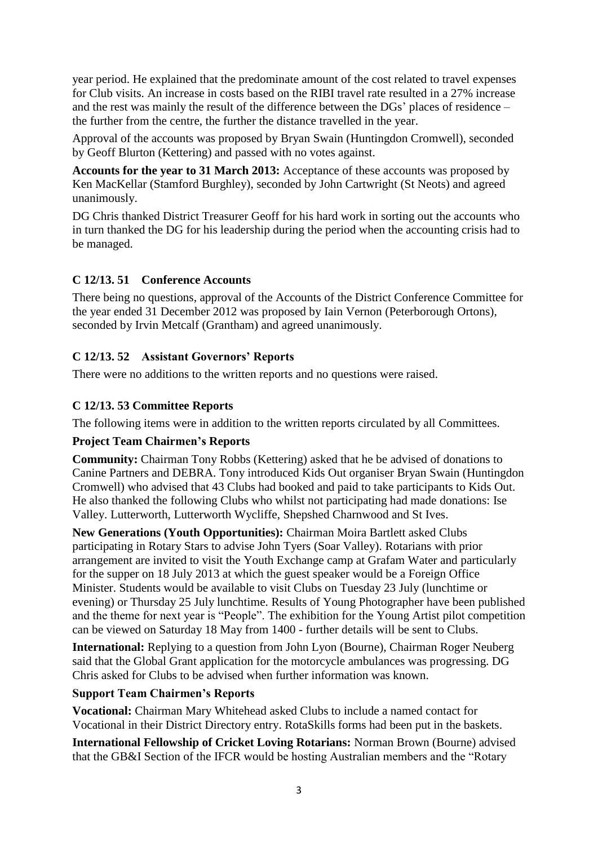year period. He explained that the predominate amount of the cost related to travel expenses for Club visits. An increase in costs based on the RIBI travel rate resulted in a 27% increase and the rest was mainly the result of the difference between the DGs' places of residence – the further from the centre, the further the distance travelled in the year.

Approval of the accounts was proposed by Bryan Swain (Huntingdon Cromwell), seconded by Geoff Blurton (Kettering) and passed with no votes against.

**Accounts for the year to 31 March 2013:** Acceptance of these accounts was proposed by Ken MacKellar (Stamford Burghley), seconded by John Cartwright (St Neots) and agreed unanimously.

DG Chris thanked District Treasurer Geoff for his hard work in sorting out the accounts who in turn thanked the DG for his leadership during the period when the accounting crisis had to be managed.

## **C 12/13. 51 Conference Accounts**

There being no questions, approval of the Accounts of the District Conference Committee for the year ended 31 December 2012 was proposed by Iain Vernon (Peterborough Ortons), seconded by Irvin Metcalf (Grantham) and agreed unanimously.

## **C 12/13. 52 Assistant Governors' Reports**

There were no additions to the written reports and no questions were raised.

#### **C 12/13. 53 Committee Reports**

The following items were in addition to the written reports circulated by all Committees.

#### **Project Team Chairmen's Reports**

**Community:** Chairman Tony Robbs (Kettering) asked that he be advised of donations to Canine Partners and DEBRA. Tony introduced Kids Out organiser Bryan Swain (Huntingdon Cromwell) who advised that 43 Clubs had booked and paid to take participants to Kids Out. He also thanked the following Clubs who whilst not participating had made donations: Ise Valley. Lutterworth, Lutterworth Wycliffe, Shepshed Charnwood and St Ives.

**New Generations (Youth Opportunities):** Chairman Moira Bartlett asked Clubs participating in Rotary Stars to advise John Tyers (Soar Valley). Rotarians with prior arrangement are invited to visit the Youth Exchange camp at Grafam Water and particularly for the supper on 18 July 2013 at which the guest speaker would be a Foreign Office Minister. Students would be available to visit Clubs on Tuesday 23 July (lunchtime or evening) or Thursday 25 July lunchtime. Results of Young Photographer have been published and the theme for next year is "People". The exhibition for the Young Artist pilot competition can be viewed on Saturday 18 May from 1400 - further details will be sent to Clubs.

**International:** Replying to a question from John Lyon (Bourne), Chairman Roger Neuberg said that the Global Grant application for the motorcycle ambulances was progressing. DG Chris asked for Clubs to be advised when further information was known.

#### **Support Team Chairmen's Reports**

**Vocational:** Chairman Mary Whitehead asked Clubs to include a named contact for Vocational in their District Directory entry. RotaSkills forms had been put in the baskets.

**International Fellowship of Cricket Loving Rotarians:** Norman Brown (Bourne) advised that the GB&I Section of the IFCR would be hosting Australian members and the "Rotary